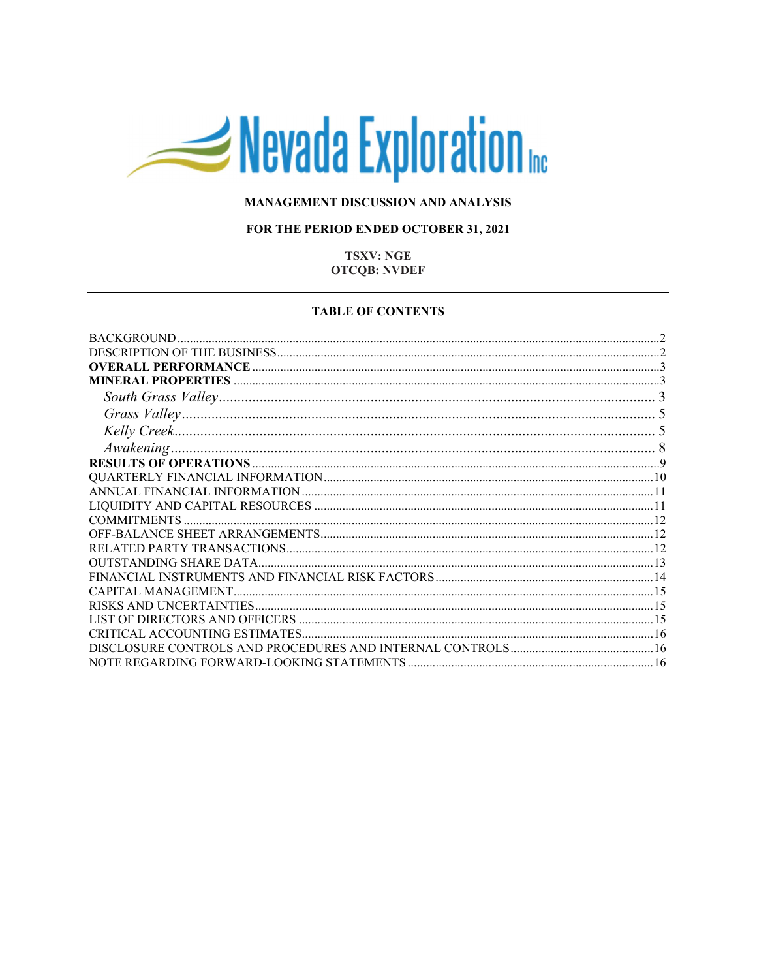# Nevada Exploration

# MANAGEMENT DISCUSSION AND ANALYSIS

# FOR THE PERIOD ENDED OCTOBER 31, 2021

# **TSXV: NGE OTCQB: NVDEF**

#### **TABLE OF CONTENTS**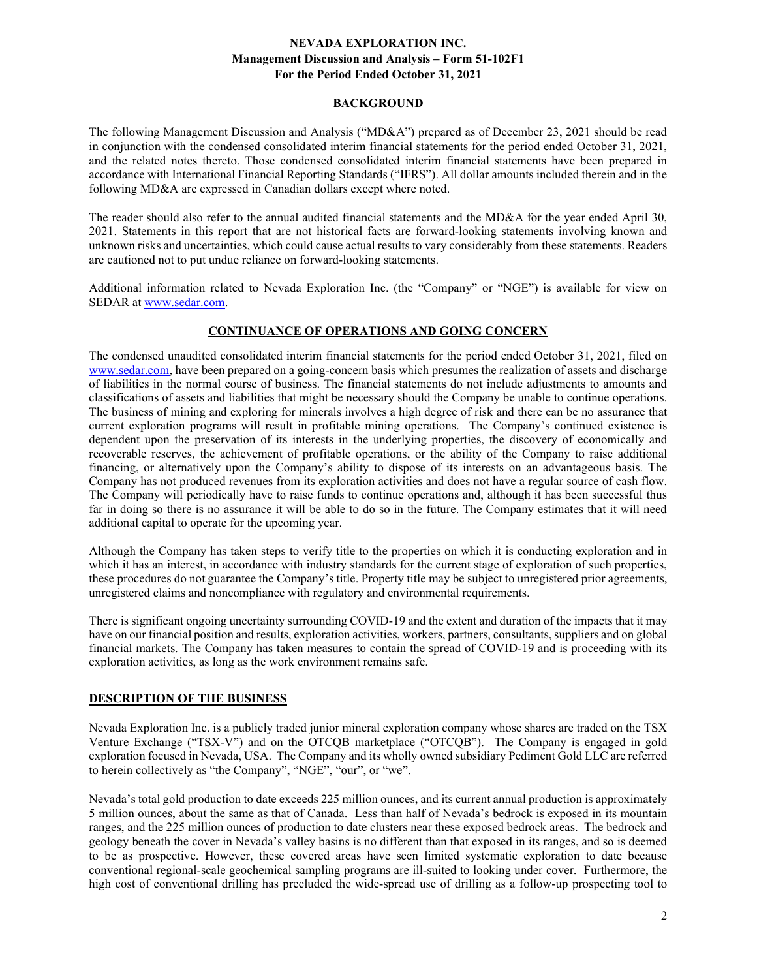# BACKGROUND

The following Management Discussion and Analysis ("MD&A") prepared as of December 23, 2021 should be read in conjunction with the condensed consolidated interim financial statements for the period ended October 31, 2021, and the related notes thereto. Those condensed consolidated interim financial statements have been prepared in accordance with International Financial Reporting Standards ("IFRS"). All dollar amounts included therein and in the following MD&A are expressed in Canadian dollars except where noted.

The reader should also refer to the annual audited financial statements and the MD&A for the year ended April 30, 2021. Statements in this report that are not historical facts are forward-looking statements involving known and unknown risks and uncertainties, which could cause actual results to vary considerably from these statements. Readers are cautioned not to put undue reliance on forward-looking statements.

Additional information related to Nevada Exploration Inc. (the "Company" or "NGE") is available for view on SEDAR at www.sedar.com.

# CONTINUANCE OF OPERATIONS AND GOING CONCERN

The condensed unaudited consolidated interim financial statements for the period ended October 31, 2021, filed on www.sedar.com, have been prepared on a going-concern basis which presumes the realization of assets and discharge of liabilities in the normal course of business. The financial statements do not include adjustments to amounts and classifications of assets and liabilities that might be necessary should the Company be unable to continue operations. The business of mining and exploring for minerals involves a high degree of risk and there can be no assurance that current exploration programs will result in profitable mining operations. The Company's continued existence is dependent upon the preservation of its interests in the underlying properties, the discovery of economically and recoverable reserves, the achievement of profitable operations, or the ability of the Company to raise additional financing, or alternatively upon the Company's ability to dispose of its interests on an advantageous basis. The Company has not produced revenues from its exploration activities and does not have a regular source of cash flow. The Company will periodically have to raise funds to continue operations and, although it has been successful thus far in doing so there is no assurance it will be able to do so in the future. The Company estimates that it will need additional capital to operate for the upcoming year.

Although the Company has taken steps to verify title to the properties on which it is conducting exploration and in which it has an interest, in accordance with industry standards for the current stage of exploration of such properties, these procedures do not guarantee the Company's title. Property title may be subject to unregistered prior agreements, unregistered claims and noncompliance with regulatory and environmental requirements.

There is significant ongoing uncertainty surrounding COVID-19 and the extent and duration of the impacts that it may have on our financial position and results, exploration activities, workers, partners, consultants, suppliers and on global financial markets. The Company has taken measures to contain the spread of COVID-19 and is proceeding with its exploration activities, as long as the work environment remains safe.

# DESCRIPTION OF THE BUSINESS

Nevada Exploration Inc. is a publicly traded junior mineral exploration company whose shares are traded on the TSX Venture Exchange ("TSX-V") and on the OTCQB marketplace ("OTCQB"). The Company is engaged in gold exploration focused in Nevada, USA. The Company and its wholly owned subsidiary Pediment Gold LLC are referred to herein collectively as "the Company", "NGE", "our", or "we".

Nevada's total gold production to date exceeds 225 million ounces, and its current annual production is approximately 5 million ounces, about the same as that of Canada. Less than half of Nevada's bedrock is exposed in its mountain ranges, and the 225 million ounces of production to date clusters near these exposed bedrock areas. The bedrock and geology beneath the cover in Nevada's valley basins is no different than that exposed in its ranges, and so is deemed to be as prospective. However, these covered areas have seen limited systematic exploration to date because conventional regional-scale geochemical sampling programs are ill-suited to looking under cover. Furthermore, the high cost of conventional drilling has precluded the wide-spread use of drilling as a follow-up prospecting tool to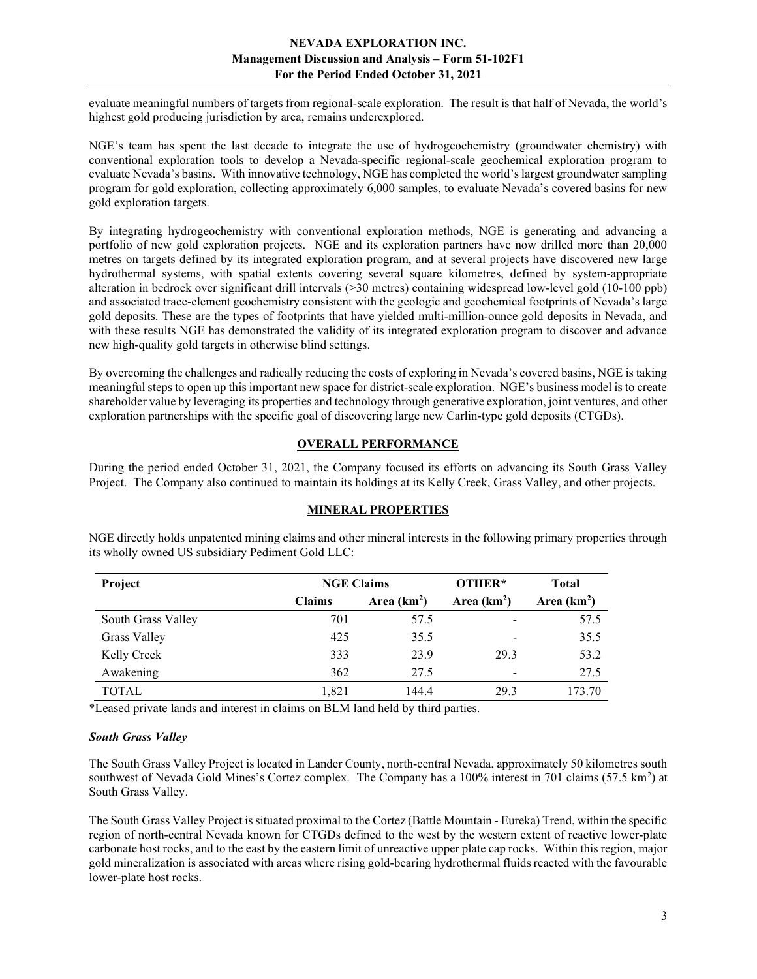evaluate meaningful numbers of targets from regional-scale exploration. The result is that half of Nevada, the world's highest gold producing jurisdiction by area, remains underexplored.

NGE's team has spent the last decade to integrate the use of hydrogeochemistry (groundwater chemistry) with conventional exploration tools to develop a Nevada-specific regional-scale geochemical exploration program to evaluate Nevada's basins. With innovative technology, NGE has completed the world's largest groundwater sampling program for gold exploration, collecting approximately 6,000 samples, to evaluate Nevada's covered basins for new gold exploration targets.

By integrating hydrogeochemistry with conventional exploration methods, NGE is generating and advancing a portfolio of new gold exploration projects. NGE and its exploration partners have now drilled more than 20,000 metres on targets defined by its integrated exploration program, and at several projects have discovered new large hydrothermal systems, with spatial extents covering several square kilometres, defined by system-appropriate alteration in bedrock over significant drill intervals (>30 metres) containing widespread low-level gold (10-100 ppb) and associated trace-element geochemistry consistent with the geologic and geochemical footprints of Nevada's large gold deposits. These are the types of footprints that have yielded multi-million-ounce gold deposits in Nevada, and with these results NGE has demonstrated the validity of its integrated exploration program to discover and advance new high-quality gold targets in otherwise blind settings.

By overcoming the challenges and radically reducing the costs of exploring in Nevada's covered basins, NGE is taking meaningful steps to open up this important new space for district-scale exploration. NGE's business model is to create shareholder value by leveraging its properties and technology through generative exploration, joint ventures, and other exploration partnerships with the specific goal of discovering large new Carlin-type gold deposits (CTGDs).

# OVERALL PERFORMANCE

During the period ended October 31, 2021, the Company focused its efforts on advancing its South Grass Valley Project. The Company also continued to maintain its holdings at its Kelly Creek, Grass Valley, and other projects.

# MINERAL PROPERTIES

| Project             | <b>NGE Claims</b> |              | OTHER*                       | <b>Total</b> |
|---------------------|-------------------|--------------|------------------------------|--------------|
|                     | <b>Claims</b>     | Area $(km2)$ | Area $(km2)$                 | Area $(km2)$ |
| South Grass Valley  | 701               | 57.5         | $\qquad \qquad \blacksquare$ | 57.5         |
| <b>Grass Valley</b> | 425               | 35.5         | $\qquad \qquad$              | 35.5         |
| Kelly Creek         | 333               | 23.9         | 29.3                         | 53.2         |
| Awakening           | 362               | 27.5         | -                            | 27.5         |
| <b>TOTAL</b>        | 1,821             | 144.4        | 29.3                         | 173.70       |

NGE directly holds unpatented mining claims and other mineral interests in the following primary properties through its wholly owned US subsidiary Pediment Gold LLC:

\*Leased private lands and interest in claims on BLM land held by third parties.

# South Grass Valley

The South Grass Valley Project is located in Lander County, north-central Nevada, approximately 50 kilometres south southwest of Nevada Gold Mines's Cortez complex. The Company has a  $100\%$  interest in 701 claims (57.5 km<sup>2</sup>) at South Grass Valley.

The South Grass Valley Project is situated proximal to the Cortez (Battle Mountain - Eureka) Trend, within the specific region of north-central Nevada known for CTGDs defined to the west by the western extent of reactive lower-plate carbonate host rocks, and to the east by the eastern limit of unreactive upper plate cap rocks. Within this region, major gold mineralization is associated with areas where rising gold-bearing hydrothermal fluids reacted with the favourable lower-plate host rocks.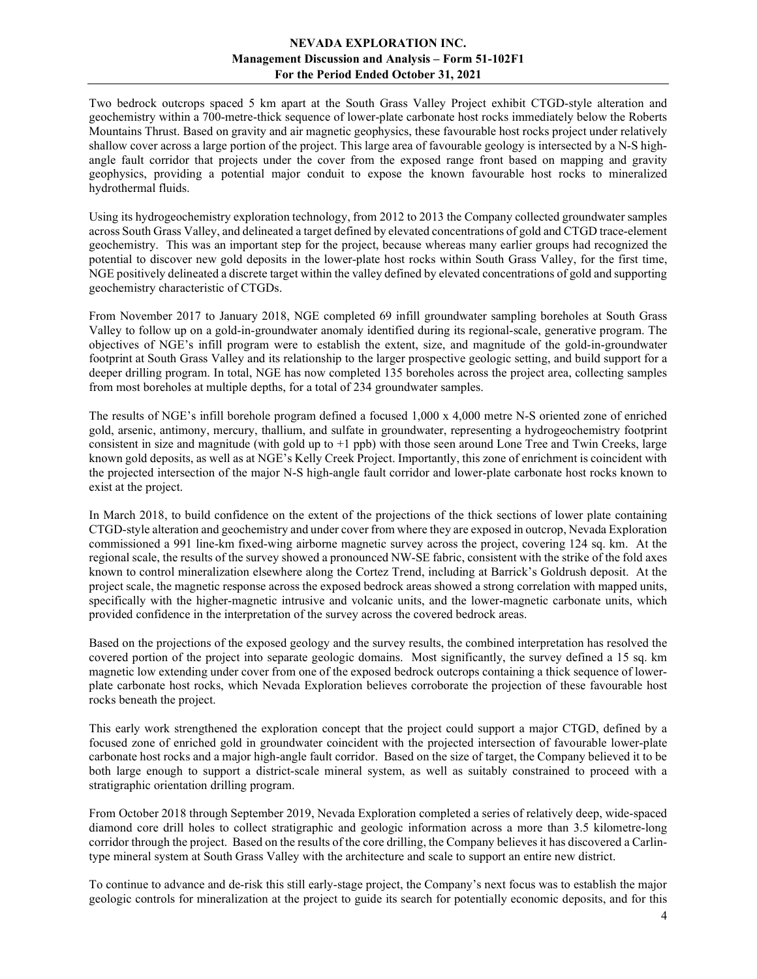Two bedrock outcrops spaced 5 km apart at the South Grass Valley Project exhibit CTGD-style alteration and geochemistry within a 700-metre-thick sequence of lower-plate carbonate host rocks immediately below the Roberts Mountains Thrust. Based on gravity and air magnetic geophysics, these favourable host rocks project under relatively shallow cover across a large portion of the project. This large area of favourable geology is intersected by a N-S highangle fault corridor that projects under the cover from the exposed range front based on mapping and gravity geophysics, providing a potential major conduit to expose the known favourable host rocks to mineralized hydrothermal fluids.

Using its hydrogeochemistry exploration technology, from 2012 to 2013 the Company collected groundwater samples across South Grass Valley, and delineated a target defined by elevated concentrations of gold and CTGD trace-element geochemistry. This was an important step for the project, because whereas many earlier groups had recognized the potential to discover new gold deposits in the lower-plate host rocks within South Grass Valley, for the first time, NGE positively delineated a discrete target within the valley defined by elevated concentrations of gold and supporting geochemistry characteristic of CTGDs.

From November 2017 to January 2018, NGE completed 69 infill groundwater sampling boreholes at South Grass Valley to follow up on a gold-in-groundwater anomaly identified during its regional-scale, generative program. The objectives of NGE's infill program were to establish the extent, size, and magnitude of the gold-in-groundwater footprint at South Grass Valley and its relationship to the larger prospective geologic setting, and build support for a deeper drilling program. In total, NGE has now completed 135 boreholes across the project area, collecting samples from most boreholes at multiple depths, for a total of 234 groundwater samples.

The results of NGE's infill borehole program defined a focused 1,000 x 4,000 metre N-S oriented zone of enriched gold, arsenic, antimony, mercury, thallium, and sulfate in groundwater, representing a hydrogeochemistry footprint consistent in size and magnitude (with gold up to  $+1$  ppb) with those seen around Lone Tree and Twin Creeks, large known gold deposits, as well as at NGE's Kelly Creek Project. Importantly, this zone of enrichment is coincident with the projected intersection of the major N-S high-angle fault corridor and lower-plate carbonate host rocks known to exist at the project.

In March 2018, to build confidence on the extent of the projections of the thick sections of lower plate containing CTGD-style alteration and geochemistry and under cover from where they are exposed in outcrop, Nevada Exploration commissioned a 991 line-km fixed-wing airborne magnetic survey across the project, covering 124 sq. km. At the regional scale, the results of the survey showed a pronounced NW-SE fabric, consistent with the strike of the fold axes known to control mineralization elsewhere along the Cortez Trend, including at Barrick's Goldrush deposit. At the project scale, the magnetic response across the exposed bedrock areas showed a strong correlation with mapped units, specifically with the higher-magnetic intrusive and volcanic units, and the lower-magnetic carbonate units, which provided confidence in the interpretation of the survey across the covered bedrock areas.

Based on the projections of the exposed geology and the survey results, the combined interpretation has resolved the covered portion of the project into separate geologic domains. Most significantly, the survey defined a 15 sq. km magnetic low extending under cover from one of the exposed bedrock outcrops containing a thick sequence of lowerplate carbonate host rocks, which Nevada Exploration believes corroborate the projection of these favourable host rocks beneath the project.

This early work strengthened the exploration concept that the project could support a major CTGD, defined by a focused zone of enriched gold in groundwater coincident with the projected intersection of favourable lower-plate carbonate host rocks and a major high-angle fault corridor. Based on the size of target, the Company believed it to be both large enough to support a district-scale mineral system, as well as suitably constrained to proceed with a stratigraphic orientation drilling program.

From October 2018 through September 2019, Nevada Exploration completed a series of relatively deep, wide-spaced diamond core drill holes to collect stratigraphic and geologic information across a more than 3.5 kilometre-long corridor through the project. Based on the results of the core drilling, the Company believes it has discovered a Carlintype mineral system at South Grass Valley with the architecture and scale to support an entire new district.

To continue to advance and de-risk this still early-stage project, the Company's next focus was to establish the major geologic controls for mineralization at the project to guide its search for potentially economic deposits, and for this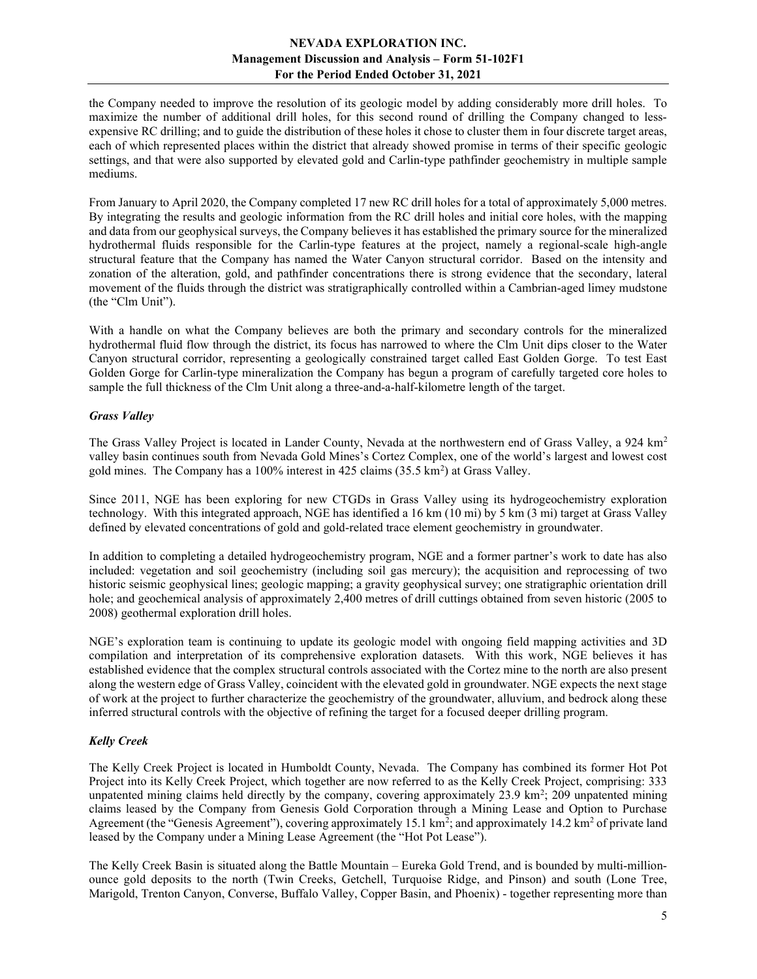the Company needed to improve the resolution of its geologic model by adding considerably more drill holes. To maximize the number of additional drill holes, for this second round of drilling the Company changed to lessexpensive RC drilling; and to guide the distribution of these holes it chose to cluster them in four discrete target areas, each of which represented places within the district that already showed promise in terms of their specific geologic settings, and that were also supported by elevated gold and Carlin-type pathfinder geochemistry in multiple sample mediums.

From January to April 2020, the Company completed 17 new RC drill holes for a total of approximately 5,000 metres. By integrating the results and geologic information from the RC drill holes and initial core holes, with the mapping and data from our geophysical surveys, the Company believes it has established the primary source for the mineralized hydrothermal fluids responsible for the Carlin-type features at the project, namely a regional-scale high-angle structural feature that the Company has named the Water Canyon structural corridor. Based on the intensity and zonation of the alteration, gold, and pathfinder concentrations there is strong evidence that the secondary, lateral movement of the fluids through the district was stratigraphically controlled within a Cambrian-aged limey mudstone (the "Clm Unit").

With a handle on what the Company believes are both the primary and secondary controls for the mineralized hydrothermal fluid flow through the district, its focus has narrowed to where the Clm Unit dips closer to the Water Canyon structural corridor, representing a geologically constrained target called East Golden Gorge. To test East Golden Gorge for Carlin-type mineralization the Company has begun a program of carefully targeted core holes to sample the full thickness of the Clm Unit along a three-and-a-half-kilometre length of the target.

#### Grass Valley

The Grass Valley Project is located in Lander County, Nevada at the northwestern end of Grass Valley, a 924 km<sup>2</sup> valley basin continues south from Nevada Gold Mines's Cortez Complex, one of the world's largest and lowest cost gold mines. The Company has a 100% interest in  $425$  claims  $(35.5 \text{ km}^2)$  at Grass Valley.

Since 2011, NGE has been exploring for new CTGDs in Grass Valley using its hydrogeochemistry exploration technology. With this integrated approach, NGE has identified a 16 km (10 mi) by 5 km (3 mi) target at Grass Valley defined by elevated concentrations of gold and gold-related trace element geochemistry in groundwater.

In addition to completing a detailed hydrogeochemistry program, NGE and a former partner's work to date has also included: vegetation and soil geochemistry (including soil gas mercury); the acquisition and reprocessing of two historic seismic geophysical lines; geologic mapping; a gravity geophysical survey; one stratigraphic orientation drill hole; and geochemical analysis of approximately 2,400 metres of drill cuttings obtained from seven historic (2005 to 2008) geothermal exploration drill holes.

NGE's exploration team is continuing to update its geologic model with ongoing field mapping activities and 3D compilation and interpretation of its comprehensive exploration datasets. With this work, NGE believes it has established evidence that the complex structural controls associated with the Cortez mine to the north are also present along the western edge of Grass Valley, coincident with the elevated gold in groundwater. NGE expects the next stage of work at the project to further characterize the geochemistry of the groundwater, alluvium, and bedrock along these inferred structural controls with the objective of refining the target for a focused deeper drilling program.

# Kelly Creek

The Kelly Creek Project is located in Humboldt County, Nevada. The Company has combined its former Hot Pot Project into its Kelly Creek Project, which together are now referred to as the Kelly Creek Project, comprising: 333 unpatented mining claims held directly by the company, covering approximately  $23.9 \text{ km}^2$ ;  $209$  unpatented mining claims leased by the Company from Genesis Gold Corporation through a Mining Lease and Option to Purchase Agreement (the "Genesis Agreement"), covering approximately  $15.1 \text{ km}^2$ ; and approximately  $14.2 \text{ km}^2$  of private land leased by the Company under a Mining Lease Agreement (the "Hot Pot Lease").

The Kelly Creek Basin is situated along the Battle Mountain – Eureka Gold Trend, and is bounded by multi-millionounce gold deposits to the north (Twin Creeks, Getchell, Turquoise Ridge, and Pinson) and south (Lone Tree, Marigold, Trenton Canyon, Converse, Buffalo Valley, Copper Basin, and Phoenix) - together representing more than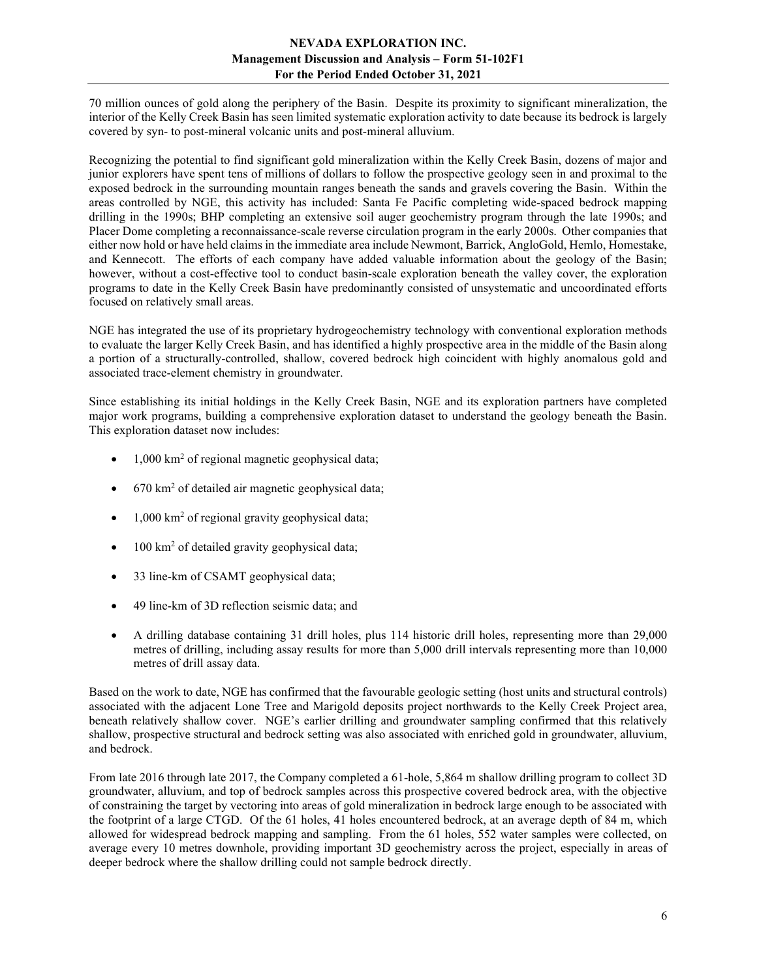70 million ounces of gold along the periphery of the Basin. Despite its proximity to significant mineralization, the interior of the Kelly Creek Basin has seen limited systematic exploration activity to date because its bedrock is largely covered by syn- to post-mineral volcanic units and post-mineral alluvium.

Recognizing the potential to find significant gold mineralization within the Kelly Creek Basin, dozens of major and junior explorers have spent tens of millions of dollars to follow the prospective geology seen in and proximal to the exposed bedrock in the surrounding mountain ranges beneath the sands and gravels covering the Basin. Within the areas controlled by NGE, this activity has included: Santa Fe Pacific completing wide-spaced bedrock mapping drilling in the 1990s; BHP completing an extensive soil auger geochemistry program through the late 1990s; and Placer Dome completing a reconnaissance-scale reverse circulation program in the early 2000s. Other companies that either now hold or have held claims in the immediate area include Newmont, Barrick, AngloGold, Hemlo, Homestake, and Kennecott. The efforts of each company have added valuable information about the geology of the Basin; however, without a cost-effective tool to conduct basin-scale exploration beneath the valley cover, the exploration programs to date in the Kelly Creek Basin have predominantly consisted of unsystematic and uncoordinated efforts focused on relatively small areas.

NGE has integrated the use of its proprietary hydrogeochemistry technology with conventional exploration methods to evaluate the larger Kelly Creek Basin, and has identified a highly prospective area in the middle of the Basin along a portion of a structurally-controlled, shallow, covered bedrock high coincident with highly anomalous gold and associated trace-element chemistry in groundwater.

Since establishing its initial holdings in the Kelly Creek Basin, NGE and its exploration partners have completed major work programs, building a comprehensive exploration dataset to understand the geology beneath the Basin. This exploration dataset now includes:

- 1,000 km<sup>2</sup> of regional magnetic geophysical data;
- 670 km<sup>2</sup> of detailed air magnetic geophysical data;
- $\bullet$  1,000 km<sup>2</sup> of regional gravity geophysical data;
- 100 km<sup>2</sup> of detailed gravity geophysical data;
- 33 line-km of CSAMT geophysical data;
- 49 line-km of 3D reflection seismic data; and
- A drilling database containing 31 drill holes, plus 114 historic drill holes, representing more than 29,000 metres of drilling, including assay results for more than 5,000 drill intervals representing more than 10,000 metres of drill assay data.

Based on the work to date, NGE has confirmed that the favourable geologic setting (host units and structural controls) associated with the adjacent Lone Tree and Marigold deposits project northwards to the Kelly Creek Project area, beneath relatively shallow cover. NGE's earlier drilling and groundwater sampling confirmed that this relatively shallow, prospective structural and bedrock setting was also associated with enriched gold in groundwater, alluvium, and bedrock.

From late 2016 through late 2017, the Company completed a 61-hole, 5,864 m shallow drilling program to collect 3D groundwater, alluvium, and top of bedrock samples across this prospective covered bedrock area, with the objective of constraining the target by vectoring into areas of gold mineralization in bedrock large enough to be associated with the footprint of a large CTGD. Of the 61 holes, 41 holes encountered bedrock, at an average depth of 84 m, which allowed for widespread bedrock mapping and sampling. From the 61 holes, 552 water samples were collected, on average every 10 metres downhole, providing important 3D geochemistry across the project, especially in areas of deeper bedrock where the shallow drilling could not sample bedrock directly.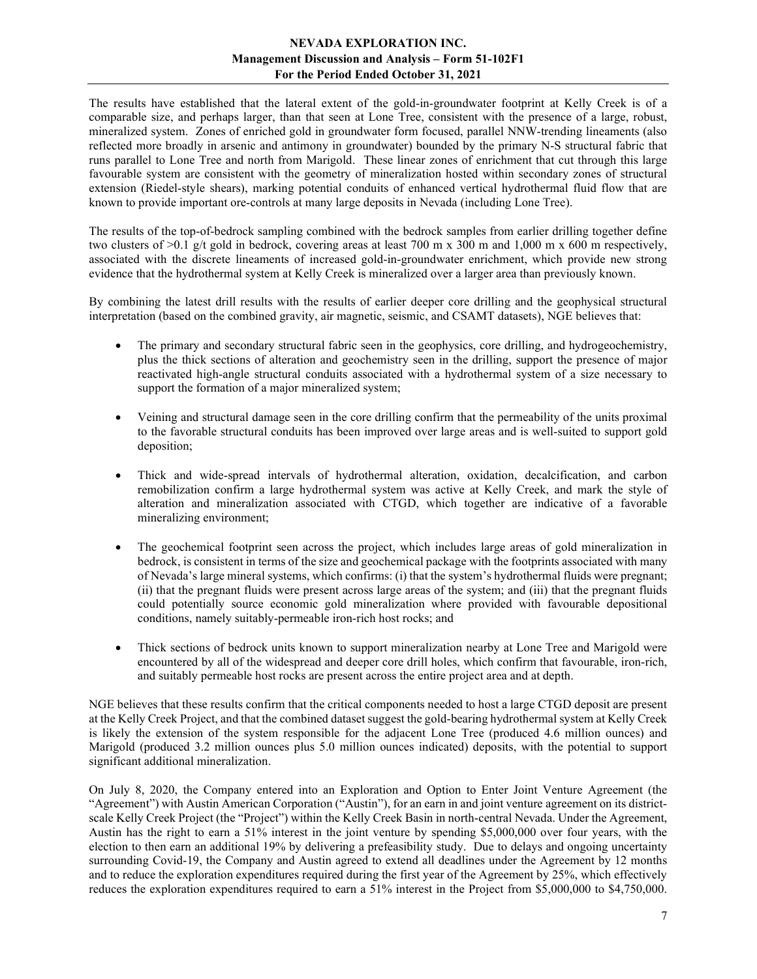The results have established that the lateral extent of the gold-in-groundwater footprint at Kelly Creek is of a comparable size, and perhaps larger, than that seen at Lone Tree, consistent with the presence of a large, robust, mineralized system. Zones of enriched gold in groundwater form focused, parallel NNW-trending lineaments (also reflected more broadly in arsenic and antimony in groundwater) bounded by the primary N-S structural fabric that runs parallel to Lone Tree and north from Marigold. These linear zones of enrichment that cut through this large favourable system are consistent with the geometry of mineralization hosted within secondary zones of structural extension (Riedel-style shears), marking potential conduits of enhanced vertical hydrothermal fluid flow that are known to provide important ore-controls at many large deposits in Nevada (including Lone Tree).

The results of the top-of-bedrock sampling combined with the bedrock samples from earlier drilling together define two clusters of  $>0.1$  g/t gold in bedrock, covering areas at least 700 m x 300 m and 1,000 m x 600 m respectively, associated with the discrete lineaments of increased gold-in-groundwater enrichment, which provide new strong evidence that the hydrothermal system at Kelly Creek is mineralized over a larger area than previously known.

By combining the latest drill results with the results of earlier deeper core drilling and the geophysical structural interpretation (based on the combined gravity, air magnetic, seismic, and CSAMT datasets), NGE believes that:

- The primary and secondary structural fabric seen in the geophysics, core drilling, and hydrogeochemistry, plus the thick sections of alteration and geochemistry seen in the drilling, support the presence of major reactivated high-angle structural conduits associated with a hydrothermal system of a size necessary to support the formation of a major mineralized system;
- Veining and structural damage seen in the core drilling confirm that the permeability of the units proximal to the favorable structural conduits has been improved over large areas and is well-suited to support gold deposition;
- Thick and wide-spread intervals of hydrothermal alteration, oxidation, decalcification, and carbon remobilization confirm a large hydrothermal system was active at Kelly Creek, and mark the style of alteration and mineralization associated with CTGD, which together are indicative of a favorable mineralizing environment;
- The geochemical footprint seen across the project, which includes large areas of gold mineralization in bedrock, is consistent in terms of the size and geochemical package with the footprints associated with many of Nevada's large mineral systems, which confirms: (i) that the system's hydrothermal fluids were pregnant; (ii) that the pregnant fluids were present across large areas of the system; and (iii) that the pregnant fluids could potentially source economic gold mineralization where provided with favourable depositional conditions, namely suitably-permeable iron-rich host rocks; and
- Thick sections of bedrock units known to support mineralization nearby at Lone Tree and Marigold were encountered by all of the widespread and deeper core drill holes, which confirm that favourable, iron-rich, and suitably permeable host rocks are present across the entire project area and at depth.

NGE believes that these results confirm that the critical components needed to host a large CTGD deposit are present at the Kelly Creek Project, and that the combined dataset suggest the gold-bearing hydrothermal system at Kelly Creek is likely the extension of the system responsible for the adjacent Lone Tree (produced 4.6 million ounces) and Marigold (produced 3.2 million ounces plus 5.0 million ounces indicated) deposits, with the potential to support significant additional mineralization.

On July 8, 2020, the Company entered into an Exploration and Option to Enter Joint Venture Agreement (the "Agreement") with Austin American Corporation ("Austin"), for an earn in and joint venture agreement on its districtscale Kelly Creek Project (the "Project") within the Kelly Creek Basin in north-central Nevada. Under the Agreement, Austin has the right to earn a 51% interest in the joint venture by spending \$5,000,000 over four years, with the election to then earn an additional 19% by delivering a prefeasibility study. Due to delays and ongoing uncertainty surrounding Covid-19, the Company and Austin agreed to extend all deadlines under the Agreement by 12 months and to reduce the exploration expenditures required during the first year of the Agreement by 25%, which effectively reduces the exploration expenditures required to earn a 51% interest in the Project from \$5,000,000 to \$4,750,000.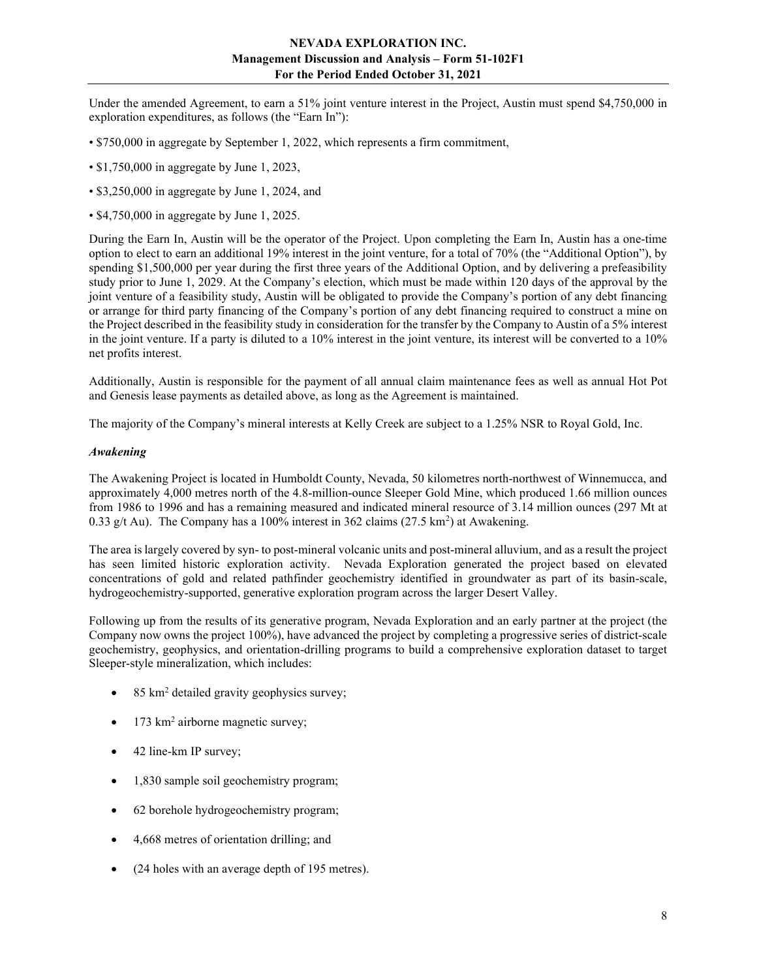Under the amended Agreement, to earn a 51% joint venture interest in the Project, Austin must spend \$4,750,000 in exploration expenditures, as follows (the "Earn In"):

- \$750,000 in aggregate by September 1, 2022, which represents a firm commitment,
- \$1,750,000 in aggregate by June 1, 2023,
- \$3,250,000 in aggregate by June 1, 2024, and
- \$4,750,000 in aggregate by June 1, 2025.

During the Earn In, Austin will be the operator of the Project. Upon completing the Earn In, Austin has a one-time option to elect to earn an additional 19% interest in the joint venture, for a total of 70% (the "Additional Option"), by spending \$1,500,000 per year during the first three years of the Additional Option, and by delivering a prefeasibility study prior to June 1, 2029. At the Company's election, which must be made within 120 days of the approval by the joint venture of a feasibility study, Austin will be obligated to provide the Company's portion of any debt financing or arrange for third party financing of the Company's portion of any debt financing required to construct a mine on the Project described in the feasibility study in consideration for the transfer by the Company to Austin of a 5% interest in the joint venture. If a party is diluted to a 10% interest in the joint venture, its interest will be converted to a 10% net profits interest.

Additionally, Austin is responsible for the payment of all annual claim maintenance fees as well as annual Hot Pot and Genesis lease payments as detailed above, as long as the Agreement is maintained.

The majority of the Company's mineral interests at Kelly Creek are subject to a 1.25% NSR to Royal Gold, Inc.

#### Awakening

The Awakening Project is located in Humboldt County, Nevada, 50 kilometres north-northwest of Winnemucca, and approximately 4,000 metres north of the 4.8-million-ounce Sleeper Gold Mine, which produced 1.66 million ounces from 1986 to 1996 and has a remaining measured and indicated mineral resource of 3.14 million ounces (297 Mt at 0.33 g/t Au). The Company has a 100% interest in 362 claims  $(27.5 \text{ km}^2)$  at Awakening.

The area is largely covered by syn- to post-mineral volcanic units and post-mineral alluvium, and as a result the project has seen limited historic exploration activity. Nevada Exploration generated the project based on elevated concentrations of gold and related pathfinder geochemistry identified in groundwater as part of its basin-scale, hydrogeochemistry-supported, generative exploration program across the larger Desert Valley.

Following up from the results of its generative program, Nevada Exploration and an early partner at the project (the Company now owns the project 100%), have advanced the project by completing a progressive series of district-scale geochemistry, geophysics, and orientation-drilling programs to build a comprehensive exploration dataset to target Sleeper-style mineralization, which includes:

- $\bullet$  85 km<sup>2</sup> detailed gravity geophysics survey;
- $\bullet$  173 km<sup>2</sup> airborne magnetic survey;
- 42 line-km IP survey;
- 1,830 sample soil geochemistry program;
- 62 borehole hydrogeochemistry program;
- 4,668 metres of orientation drilling; and
- (24 holes with an average depth of 195 metres).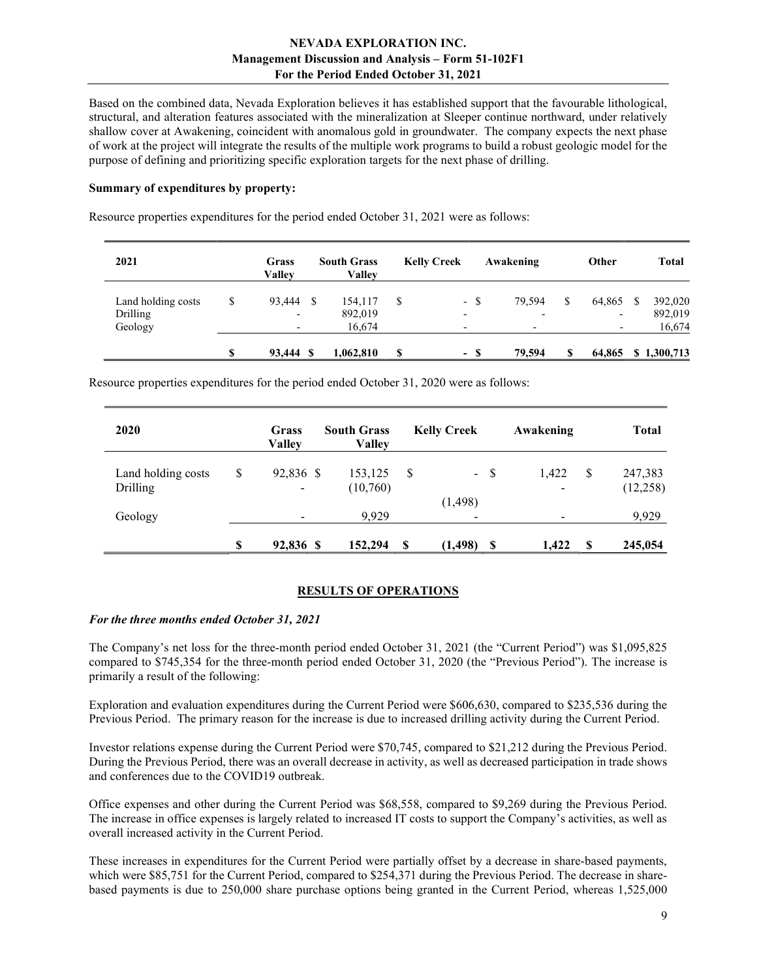Based on the combined data, Nevada Exploration believes it has established support that the favourable lithological, structural, and alteration features associated with the mineralization at Sleeper continue northward, under relatively shallow cover at Awakening, coincident with anomalous gold in groundwater. The company expects the next phase of work at the project will integrate the results of the multiple work programs to build a robust geologic model for the purpose of defining and prioritizing specific exploration targets for the next phase of drilling.

#### Summary of expenditures by property:

Resource properties expenditures for the period ended October 31, 2021 were as follows:

| 2021                           |          | Grass<br>Vallev                    |     | <b>South Grass</b><br>Vallev |   | <b>Kelly Creek</b>       |      | Awakening |   | Other                              | <b>Total</b>       |
|--------------------------------|----------|------------------------------------|-----|------------------------------|---|--------------------------|------|-----------|---|------------------------------------|--------------------|
| Land holding costs<br>Drilling | \$       | 93.444<br>$\overline{\phantom{a}}$ | - S | 154.117<br>892,019           | S | $\overline{\phantom{0}}$ | - \$ | 79.594    |   | 64.865<br>$\overline{\phantom{0}}$ | 392,020<br>892,019 |
| Geology                        |          |                                    |     | 16.674                       |   |                          |      |           |   |                                    | 16,674             |
|                                | <b>S</b> | 93.444 \$                          |     | 1,062,810                    | S |                          | - \$ | 79,594    | S | 64,865                             | \$1,300,713        |

Resource properties expenditures for the period ended October 31, 2020 were as follows:

| 2020                           | Grass<br><b>Valley</b>                      | <b>South Grass</b><br><b>Valley</b> | <b>Kelly Creek</b> |        | Awakening                         |    | <b>Total</b>        |
|--------------------------------|---------------------------------------------|-------------------------------------|--------------------|--------|-----------------------------------|----|---------------------|
| Land holding costs<br>Drilling | \$<br>92,836 \$<br>$\overline{\phantom{a}}$ | 153,125<br>(10,760)                 | -S                 | $-$ \$ | 1,422<br>$\overline{\phantom{a}}$ | S  | 247,383<br>(12,258) |
| Geology                        | -                                           | 9.929                               | (1, 498)           | ۰      |                                   |    | 9,929               |
|                                | \$<br>92,836 \$                             | 152,294                             | S<br>(1, 498)      | S      | 1,422                             | -S | 245,054             |

# RESULTS OF OPERATIONS

#### For the three months ended October 31, 2021

The Company's net loss for the three-month period ended October 31, 2021 (the "Current Period") was \$1,095,825 compared to \$745,354 for the three-month period ended October 31, 2020 (the "Previous Period"). The increase is primarily a result of the following:

Exploration and evaluation expenditures during the Current Period were \$606,630, compared to \$235,536 during the Previous Period. The primary reason for the increase is due to increased drilling activity during the Current Period.

Investor relations expense during the Current Period were \$70,745, compared to \$21,212 during the Previous Period. During the Previous Period, there was an overall decrease in activity, as well as decreased participation in trade shows and conferences due to the COVID19 outbreak.

Office expenses and other during the Current Period was \$68,558, compared to \$9,269 during the Previous Period. The increase in office expenses is largely related to increased IT costs to support the Company's activities, as well as overall increased activity in the Current Period.

These increases in expenditures for the Current Period were partially offset by a decrease in share-based payments, which were \$85,751 for the Current Period, compared to \$254,371 during the Previous Period. The decrease in sharebased payments is due to 250,000 share purchase options being granted in the Current Period, whereas 1,525,000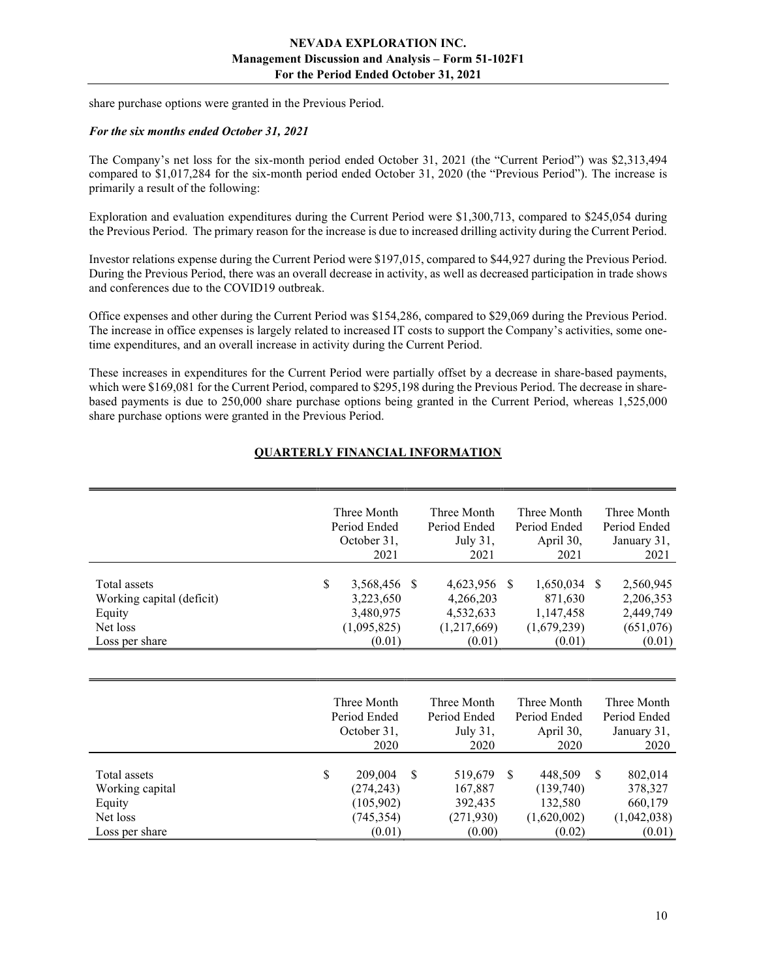share purchase options were granted in the Previous Period.

#### For the six months ended October 31, 2021

The Company's net loss for the six-month period ended October 31, 2021 (the "Current Period") was \$2,313,494 compared to \$1,017,284 for the six-month period ended October 31, 2020 (the "Previous Period"). The increase is primarily a result of the following:

Exploration and evaluation expenditures during the Current Period were \$1,300,713, compared to \$245,054 during the Previous Period. The primary reason for the increase is due to increased drilling activity during the Current Period.

Investor relations expense during the Current Period were \$197,015, compared to \$44,927 during the Previous Period. During the Previous Period, there was an overall decrease in activity, as well as decreased participation in trade shows and conferences due to the COVID19 outbreak.

Office expenses and other during the Current Period was \$154,286, compared to \$29,069 during the Previous Period. The increase in office expenses is largely related to increased IT costs to support the Company's activities, some onetime expenditures, and an overall increase in activity during the Current Period.

These increases in expenditures for the Current Period were partially offset by a decrease in share-based payments, which were \$169,081 for the Current Period, compared to \$295,198 during the Previous Period. The decrease in sharebased payments is due to 250,000 share purchase options being granted in the Current Period, whereas 1,525,000 share purchase options were granted in the Previous Period.

# QUARTERLY FINANCIAL INFORMATION

|                                                                                   | Three Month                                                        |    | Three Month                                                  | Three Month                                                           | Three Month                                                |
|-----------------------------------------------------------------------------------|--------------------------------------------------------------------|----|--------------------------------------------------------------|-----------------------------------------------------------------------|------------------------------------------------------------|
|                                                                                   | Period Ended                                                       |    | Period Ended                                                 | Period Ended                                                          | Period Ended                                               |
|                                                                                   | October 31,                                                        |    | July 31,                                                     | April 30,                                                             | January 31,                                                |
|                                                                                   | 2021                                                               |    | 2021                                                         | 2021                                                                  | 2021                                                       |
| Total assets<br>Working capital (deficit)<br>Equity<br>Net loss<br>Loss per share | \$<br>3,568,456<br>3,223,650<br>3,480,975<br>(1,095,825)<br>(0.01) | -8 | 4,623,956<br>4,266,203<br>4,532,633<br>(1,217,669)<br>(0.01) | $1,650,034$ \$<br>-S<br>871,630<br>1,147,458<br>(1,679,239)<br>(0.01) | 2,560,945<br>2,206,353<br>2,449,749<br>(651,076)<br>(0.01) |

|                                                       | Three Month<br>Period Ended<br>October 31,             |          | Three Month<br>Period Ended<br>July 31,     |    | Three Month<br>Period Ended<br>April 30,       |   | Three Month<br>Period Ended<br>January 31,   |
|-------------------------------------------------------|--------------------------------------------------------|----------|---------------------------------------------|----|------------------------------------------------|---|----------------------------------------------|
|                                                       | 2020                                                   |          | 2020                                        |    | 2020                                           |   | 2020                                         |
| Total assets<br>Working capital<br>Equity<br>Net loss | \$<br>209,004<br>(274, 243)<br>(105,902)<br>(745, 354) | <b>S</b> | 519,679<br>167,887<br>392,435<br>(271, 930) | -S | 448,509<br>(139,740)<br>132,580<br>(1,620,002) | S | 802,014<br>378,327<br>660,179<br>(1,042,038) |
| Loss per share                                        | (0.01)                                                 |          | (0.00)                                      |    | (0.02)                                         |   | (0.01)                                       |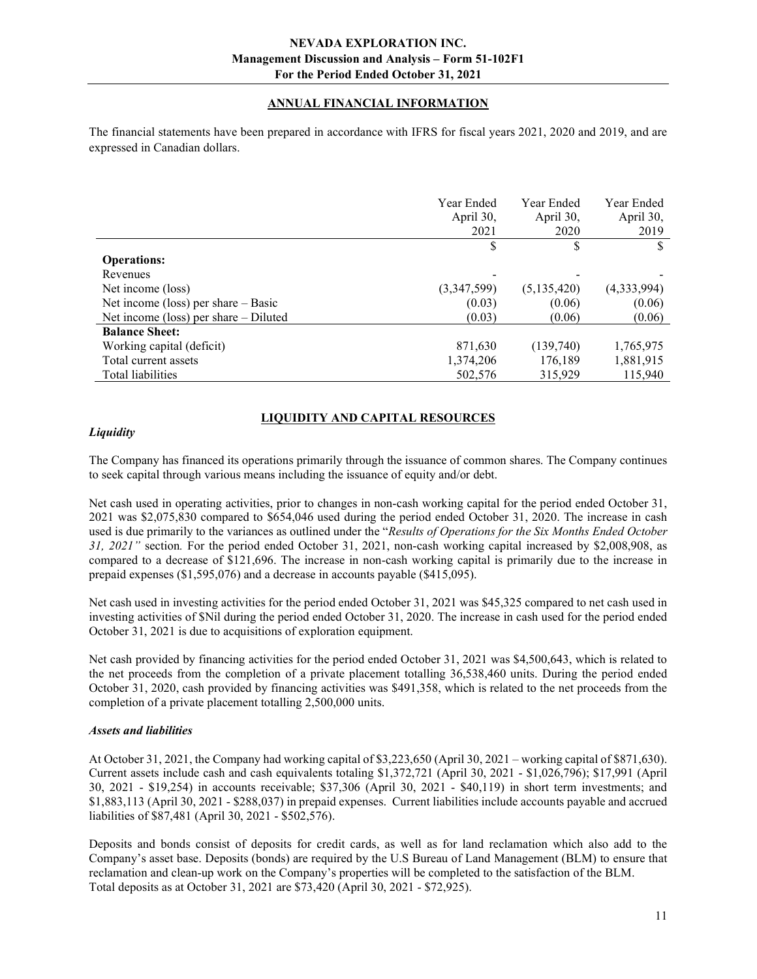# ANNUAL FINANCIAL INFORMATION

The financial statements have been prepared in accordance with IFRS for fiscal years 2021, 2020 and 2019, and are expressed in Canadian dollars.

|                                         | Year Ended<br>April 30,<br>2021 | Year Ended<br>April 30,<br>2020 | Year Ended<br>April 30,<br>2019 |
|-----------------------------------------|---------------------------------|---------------------------------|---------------------------------|
|                                         | \$                              | S                               |                                 |
| <b>Operations:</b>                      |                                 |                                 |                                 |
| Revenues                                |                                 |                                 |                                 |
| Net income (loss)                       | (3,347,599)                     | (5,135,420)                     | (4,333,994)                     |
| Net income (loss) per share $-$ Basic   | (0.03)                          | (0.06)                          | (0.06)                          |
| Net income (loss) per share $-$ Diluted | (0.03)                          | (0.06)                          | (0.06)                          |
| <b>Balance Sheet:</b>                   |                                 |                                 |                                 |
| Working capital (deficit)               | 871,630                         | (139,740)                       | 1,765,975                       |
| Total current assets                    | 1,374,206                       | 176,189                         | 1,881,915                       |
| Total liabilities                       | 502,576                         | 315,929                         | 115,940                         |

# LIQUIDITY AND CAPITAL RESOURCES

# **Liquidity**

The Company has financed its operations primarily through the issuance of common shares. The Company continues to seek capital through various means including the issuance of equity and/or debt.

Net cash used in operating activities, prior to changes in non-cash working capital for the period ended October 31, 2021 was \$2,075,830 compared to \$654,046 used during the period ended October 31, 2020. The increase in cash used is due primarily to the variances as outlined under the "Results of Operations for the Six Months Ended October 31, 2021" section. For the period ended October 31, 2021, non-cash working capital increased by \$2,008,908, as compared to a decrease of \$121,696. The increase in non-cash working capital is primarily due to the increase in prepaid expenses (\$1,595,076) and a decrease in accounts payable (\$415,095).

Net cash used in investing activities for the period ended October 31, 2021 was \$45,325 compared to net cash used in investing activities of \$Nil during the period ended October 31, 2020. The increase in cash used for the period ended October 31, 2021 is due to acquisitions of exploration equipment.

Net cash provided by financing activities for the period ended October 31, 2021 was \$4,500,643, which is related to the net proceeds from the completion of a private placement totalling 36,538,460 units. During the period ended October 31, 2020, cash provided by financing activities was \$491,358, which is related to the net proceeds from the completion of a private placement totalling 2,500,000 units.

# Assets and liabilities

At October 31, 2021, the Company had working capital of \$3,223,650 (April 30, 2021 – working capital of \$871,630). Current assets include cash and cash equivalents totaling \$1,372,721 (April 30, 2021 - \$1,026,796); \$17,991 (April 30, 2021 - \$19,254) in accounts receivable; \$37,306 (April 30, 2021 - \$40,119) in short term investments; and \$1,883,113 (April 30, 2021 - \$288,037) in prepaid expenses. Current liabilities include accounts payable and accrued liabilities of \$87,481 (April 30, 2021 - \$502,576).

Deposits and bonds consist of deposits for credit cards, as well as for land reclamation which also add to the Company's asset base. Deposits (bonds) are required by the U.S Bureau of Land Management (BLM) to ensure that reclamation and clean-up work on the Company's properties will be completed to the satisfaction of the BLM. Total deposits as at October 31, 2021 are \$73,420 (April 30, 2021 - \$72,925).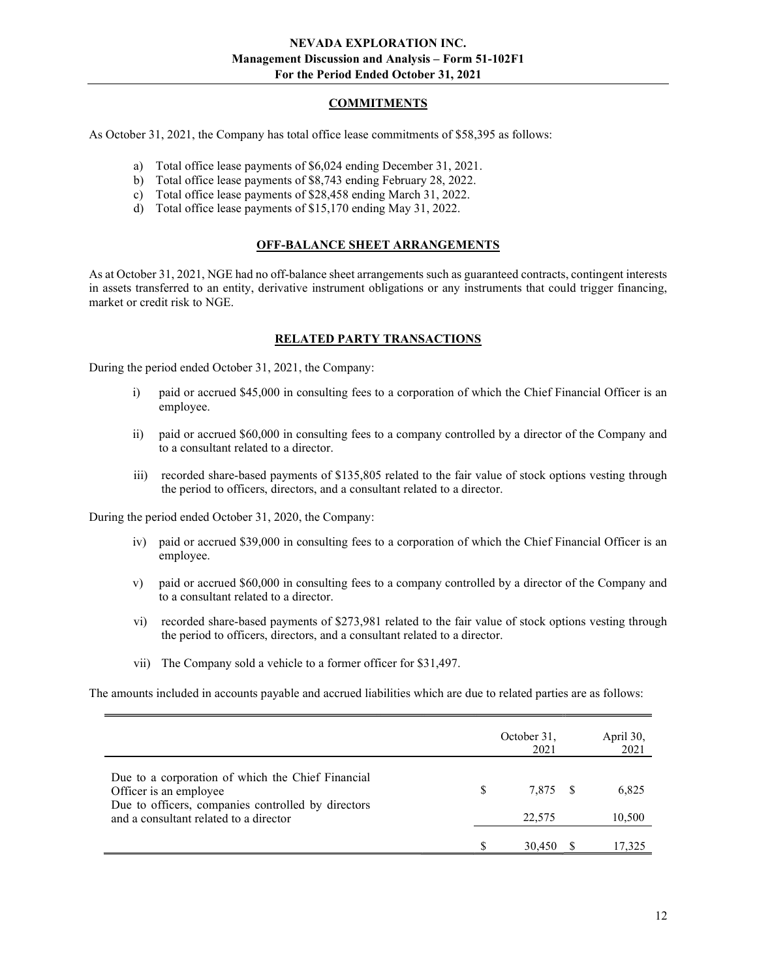# COMMITMENTS

As October 31, 2021, the Company has total office lease commitments of \$58,395 as follows:

- a) Total office lease payments of \$6,024 ending December 31, 2021.
- b) Total office lease payments of \$8,743 ending February 28, 2022.
- c) Total office lease payments of \$28,458 ending March 31, 2022.
- d) Total office lease payments of \$15,170 ending May 31, 2022.

#### OFF-BALANCE SHEET ARRANGEMENTS

As at October 31, 2021, NGE had no off-balance sheet arrangements such as guaranteed contracts, contingent interests in assets transferred to an entity, derivative instrument obligations or any instruments that could trigger financing, market or credit risk to NGE.

#### RELATED PARTY TRANSACTIONS

During the period ended October 31, 2021, the Company:

- i) paid or accrued \$45,000 in consulting fees to a corporation of which the Chief Financial Officer is an employee.
- ii) paid or accrued \$60,000 in consulting fees to a company controlled by a director of the Company and to a consultant related to a director.
- iii) recorded share-based payments of \$135,805 related to the fair value of stock options vesting through the period to officers, directors, and a consultant related to a director.

During the period ended October 31, 2020, the Company:

- iv) paid or accrued \$39,000 in consulting fees to a corporation of which the Chief Financial Officer is an employee.
- v) paid or accrued \$60,000 in consulting fees to a company controlled by a director of the Company and to a consultant related to a director.
- vi) recorded share-based payments of \$273,981 related to the fair value of stock options vesting through the period to officers, directors, and a consultant related to a director.
- vii) The Company sold a vehicle to a former officer for \$31,497.

The amounts included in accounts payable and accrued liabilities which are due to related parties are as follows:

|                                                                                                                                                                             |     | October 31,<br>2021 | April 30,<br>2021 |
|-----------------------------------------------------------------------------------------------------------------------------------------------------------------------------|-----|---------------------|-------------------|
| Due to a corporation of which the Chief Financial<br>Officer is an employee<br>Due to officers, companies controlled by directors<br>and a consultant related to a director | \$. | 7.875 \$<br>22,575  | 6.825<br>10,500   |
|                                                                                                                                                                             |     | 30,450              | 17,325            |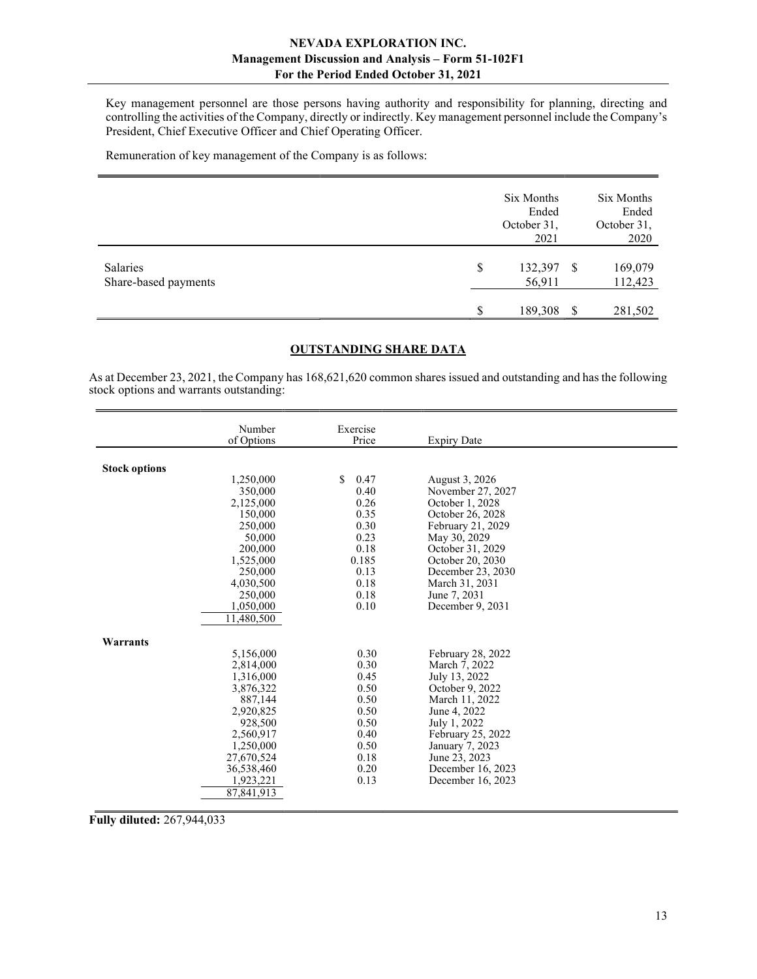Key management personnel are those persons having authority and responsibility for planning, directing and controlling the activities of the Company, directly or indirectly. Key management personnel include the Company's President, Chief Executive Officer and Chief Operating Officer.

Remuneration of key management of the Company is as follows:

|                                  |    | Six Months<br>Ended<br>October 31,<br>2021 |          | Six Months<br>Ended<br>October 31,<br>2020 |
|----------------------------------|----|--------------------------------------------|----------|--------------------------------------------|
| Salaries<br>Share-based payments | \$ | 132,397<br>56,911                          | -S       | 169,079<br>112,423                         |
|                                  | S  | 189,308                                    | <b>S</b> | 281,502                                    |

# OUTSTANDING SHARE DATA

As at December 23, 2021, the Company has 168,621,620 common shares issued and outstanding and has the following stock options and warrants outstanding:

|                      | Number               | Exercise             |                                  |  |
|----------------------|----------------------|----------------------|----------------------------------|--|
|                      | of Options           | Price                | <b>Expiry Date</b>               |  |
|                      |                      |                      |                                  |  |
| <b>Stock options</b> |                      |                      |                                  |  |
|                      | 1,250,000            | $\mathbb{S}$<br>0.47 | August 3, 2026                   |  |
|                      | 350,000              | 0.40                 | November 27, 2027                |  |
|                      | 2,125,000            | 0.26                 | October 1, 2028                  |  |
|                      | 150,000              | 0.35                 | October 26, 2028                 |  |
|                      | 250,000              | 0.30                 | February 21, 2029                |  |
|                      | 50,000               | 0.23                 | May 30, 2029                     |  |
|                      | 200,000              | 0.18                 | October 31, 2029                 |  |
|                      | 1,525,000            | 0.185                | October 20, 2030                 |  |
|                      | 250,000              | 0.13                 | December 23, 2030                |  |
|                      | 4,030,500            | 0.18                 | March 31, 2031                   |  |
|                      | 250,000              | 0.18                 | June 7, 2031                     |  |
|                      | 1,050,000            | 0.10                 | December 9, 2031                 |  |
|                      | 11,480,500           |                      |                                  |  |
|                      |                      |                      |                                  |  |
| Warrants             |                      |                      |                                  |  |
|                      | 5,156,000            | 0.30                 | February 28, 2022                |  |
|                      | 2,814,000            | 0.30<br>0.45         | March 7, 2022                    |  |
|                      | 1,316,000            | 0.50                 | July 13, 2022<br>October 9, 2022 |  |
|                      | 3,876,322<br>887.144 | 0.50                 | March 11, 2022                   |  |
|                      | 2,920,825            | 0.50                 | June 4, 2022                     |  |
|                      | 928,500              | 0.50                 | July 1, 2022                     |  |
|                      | 2,560,917            | 0.40                 | February 25, 2022                |  |
|                      | 1,250,000            | 0.50                 | January 7, 2023                  |  |
|                      | 27,670,524           | 0.18                 | June 23, 2023                    |  |
|                      | 36,538,460           | 0.20                 | December 16, 2023                |  |
|                      | 1,923,221            | 0.13                 | December 16, 2023                |  |
|                      | 87,841,913           |                      |                                  |  |
|                      |                      |                      |                                  |  |

Fully diluted: 267,944,033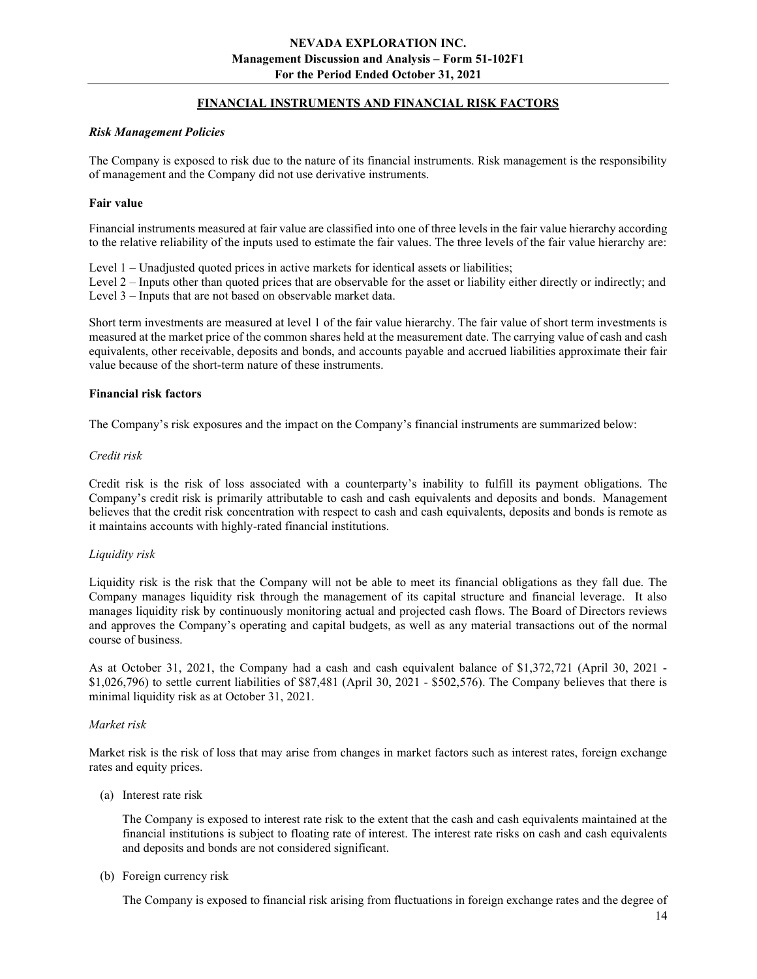# FINANCIAL INSTRUMENTS AND FINANCIAL RISK FACTORS

#### Risk Management Policies

The Company is exposed to risk due to the nature of its financial instruments. Risk management is the responsibility of management and the Company did not use derivative instruments.

#### Fair value

Financial instruments measured at fair value are classified into one of three levels in the fair value hierarchy according to the relative reliability of the inputs used to estimate the fair values. The three levels of the fair value hierarchy are:

Level  $1 -$  Unadjusted quoted prices in active markets for identical assets or liabilities;

Level 2 – Inputs other than quoted prices that are observable for the asset or liability either directly or indirectly; and Level 3 – Inputs that are not based on observable market data.

Short term investments are measured at level 1 of the fair value hierarchy. The fair value of short term investments is measured at the market price of the common shares held at the measurement date. The carrying value of cash and cash equivalents, other receivable, deposits and bonds, and accounts payable and accrued liabilities approximate their fair value because of the short-term nature of these instruments.

#### Financial risk factors

The Company's risk exposures and the impact on the Company's financial instruments are summarized below:

#### Credit risk

Credit risk is the risk of loss associated with a counterparty's inability to fulfill its payment obligations. The Company's credit risk is primarily attributable to cash and cash equivalents and deposits and bonds. Management believes that the credit risk concentration with respect to cash and cash equivalents, deposits and bonds is remote as it maintains accounts with highly-rated financial institutions.

# Liquidity risk

Liquidity risk is the risk that the Company will not be able to meet its financial obligations as they fall due. The Company manages liquidity risk through the management of its capital structure and financial leverage. It also manages liquidity risk by continuously monitoring actual and projected cash flows. The Board of Directors reviews and approves the Company's operating and capital budgets, as well as any material transactions out of the normal course of business.

As at October 31, 2021, the Company had a cash and cash equivalent balance of \$1,372,721 (April 30, 2021 - \$1,026,796) to settle current liabilities of \$87,481 (April 30, 2021 - \$502,576). The Company believes that there is minimal liquidity risk as at October 31, 2021.

# Market risk

Market risk is the risk of loss that may arise from changes in market factors such as interest rates, foreign exchange rates and equity prices.

(a) Interest rate risk

 The Company is exposed to interest rate risk to the extent that the cash and cash equivalents maintained at the financial institutions is subject to floating rate of interest. The interest rate risks on cash and cash equivalents and deposits and bonds are not considered significant.

(b) Foreign currency risk

The Company is exposed to financial risk arising from fluctuations in foreign exchange rates and the degree of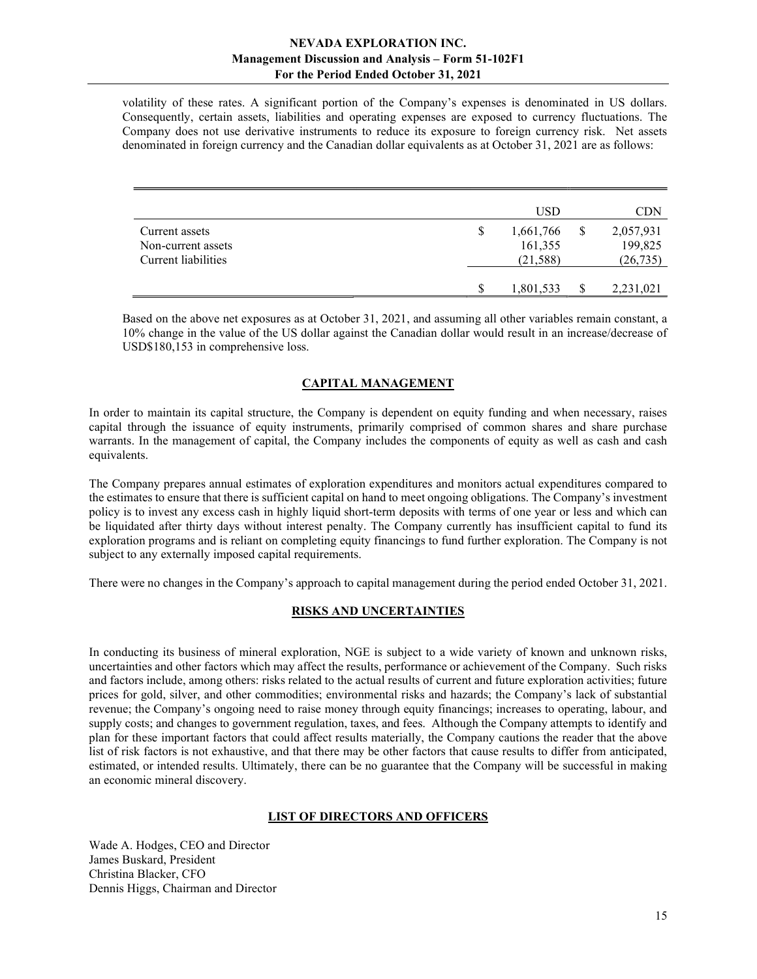volatility of these rates. A significant portion of the Company's expenses is denominated in US dollars. Consequently, certain assets, liabilities and operating expenses are exposed to currency fluctuations. The Company does not use derivative instruments to reduce its exposure to foreign currency risk. Net assets denominated in foreign currency and the Canadian dollar equivalents as at October 31, 2021 are as follows:

|                     |   | USD       | CDN       |
|---------------------|---|-----------|-----------|
| Current assets      | S | 1,661,766 | 2,057,931 |
| Non-current assets  |   | 161,355   | 199,825   |
| Current liabilities |   | (21, 588) | (26, 735) |
|                     |   |           |           |
|                     | S | 1,801,533 | 2,231,021 |

Based on the above net exposures as at October 31, 2021, and assuming all other variables remain constant, a 10% change in the value of the US dollar against the Canadian dollar would result in an increase/decrease of USD\$180,153 in comprehensive loss.

# CAPITAL MANAGEMENT

In order to maintain its capital structure, the Company is dependent on equity funding and when necessary, raises capital through the issuance of equity instruments, primarily comprised of common shares and share purchase warrants. In the management of capital, the Company includes the components of equity as well as cash and cash equivalents.

The Company prepares annual estimates of exploration expenditures and monitors actual expenditures compared to the estimates to ensure that there is sufficient capital on hand to meet ongoing obligations. The Company's investment policy is to invest any excess cash in highly liquid short-term deposits with terms of one year or less and which can be liquidated after thirty days without interest penalty. The Company currently has insufficient capital to fund its exploration programs and is reliant on completing equity financings to fund further exploration. The Company is not subject to any externally imposed capital requirements.

There were no changes in the Company's approach to capital management during the period ended October 31, 2021.

# RISKS AND UNCERTAINTIES

In conducting its business of mineral exploration, NGE is subject to a wide variety of known and unknown risks, uncertainties and other factors which may affect the results, performance or achievement of the Company. Such risks and factors include, among others: risks related to the actual results of current and future exploration activities; future prices for gold, silver, and other commodities; environmental risks and hazards; the Company's lack of substantial revenue; the Company's ongoing need to raise money through equity financings; increases to operating, labour, and supply costs; and changes to government regulation, taxes, and fees. Although the Company attempts to identify and plan for these important factors that could affect results materially, the Company cautions the reader that the above list of risk factors is not exhaustive, and that there may be other factors that cause results to differ from anticipated, estimated, or intended results. Ultimately, there can be no guarantee that the Company will be successful in making an economic mineral discovery.

# LIST OF DIRECTORS AND OFFICERS

Wade A. Hodges, CEO and Director James Buskard, President Christina Blacker, CFO Dennis Higgs, Chairman and Director